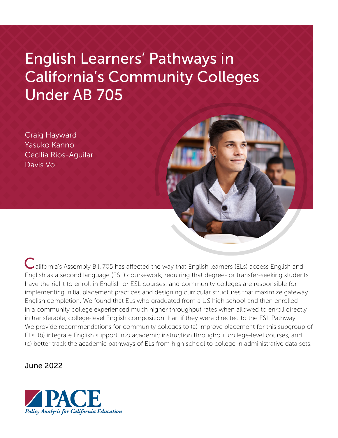# English Learners' Pathways in California's Community Colleges Under AB 705

Craig Hayward Yasuko Kanno Cecilia Rios-Aguilar Davis Vo

alifornia's Assembly Bill 705 has affected the way that English learners (ELs) access English and CEnglish as a second language (ESL) coursework, requiring that degree- or transfer-seeking students have the right to enroll in English or ESL courses, and community colleges are responsible for implementing initial placement practices and designing curricular structures that maximize gateway English completion. We found that ELs who graduated from a US high school and then enrolled in a community college experienced much higher throughput rates when allowed to enroll directly in transferable, college-level English composition than if they were directed to the ESL Pathway. We provide recommendations for community colleges to (a) improve placement for this subgroup of ELs, (b) integrate English support into academic instruction throughout college-level courses, and (c) better track the academic pathways of ELs from high school to college in administrative data sets.

June 2022

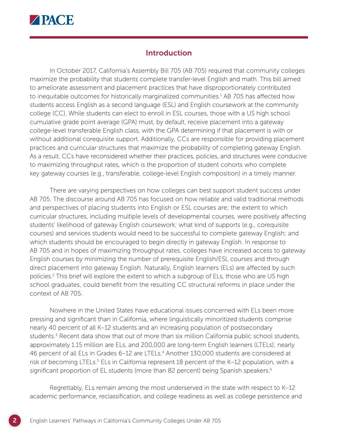

## Introduction

In October 2017, California's Assembly Bill 705 (AB 705) required that community colleges maximize the probability that students complete transfer-level English and math. This bill aimed to ameliorate assessment and placement practices that have disproportionately contributed to inequitable outcomes for historically marginalized communities.<sup>1</sup> AB 705 has affected how students access English as a second language (ESL) and English coursework at the community college (CC). While students can elect to enroll in ESL courses, those with a US high school cumulative grade point average (GPA) must, by default, receive placement into a gateway college-level transferable English class, with the GPA determining if that placement is with or without additional corequisite support. Additionally, CCs are responsible for providing placement practices and curricular structures that maximize the probability of completing gateway English. As a result, CCs have reconsidered whether their practices, policies, and structures were conducive to maximizing throughput rates, which is the proportion of student cohorts who complete key gateway courses (e.g., transferable, college-level English composition) in a timely manner.

There are varying perspectives on how colleges can best support student success under AB 705. The discourse around AB 705 has focused on how reliable and valid traditional methods and perspectives of placing students into English or ESL courses are; the extent to which curricular structures, including multiple levels of developmental courses, were positively affecting students' likelihood of gateway English coursework; what kind of supports (e.g., corequisite courses) and services students would need to be successful to complete gateway English; and which students should be encouraged to begin directly in gateway English. In response to AB 705 and in hopes of maximizing throughput rates, colleges have increased access to gateway English courses by minimizing the number of prerequisite English/ESL courses and through direct placement into gateway English. Naturally, English learners (ELs) are affected by such policies.<sup>2</sup> This brief will explore the extent to which a subgroup of ELs, those who are US high school graduates, could benefit from the resulting CC structural reforms in place under the context of AB 705.

Nowhere in the United States have educational issues concerned with ELs been more pressing and significant than in California, where linguistically minoritized students comprise nearly 40 percent of all K–12 students and an increasing population of postsecondary students.<sup>3</sup> Recent data show that out of more than six million California public school students, approximately 1.15 million are ELs, and 200,000 are long-term English learners (LTELs); nearly 46 percent of all ELs in Grades 6-12 are LTELs.<sup>4</sup> Another 130,000 students are considered at risk of becoming LTELs.<sup>5</sup> ELs in California represent 18 percent of the K-12 population, with a significant proportion of EL students (more than 82 percent) being Spanish speakers.<sup>6</sup>

Regrettably, ELs remain among the most underserved in the state with respect to K–12 academic performance, reclassification, and college readiness as well as college persistence and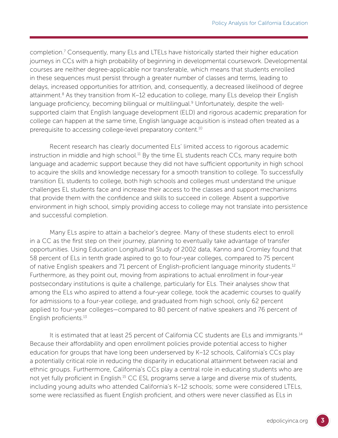completion.<sup>7</sup> Consequently, many ELs and LTELs have historically started their higher education journeys in CCs with a high probability of beginning in developmental coursework. Developmental courses are neither degree-applicable nor transferable, which means that students enrolled in these sequences must persist through a greater number of classes and terms, leading to delays, increased opportunities for attrition, and, consequently, a decreased likelihood of degree attainment.<sup>8</sup> As they transition from K–12 education to college, many ELs develop their English language proficiency, becoming bilingual or multilingual.<sup>9</sup> Unfortunately, despite the wellsupported claim that English language development (ELD) and rigorous academic preparation for college can happen at the same time, English language acquisition is instead often treated as a prerequisite to accessing college-level preparatory content.<sup>10</sup>

Recent research has clearly documented ELs' limited access to rigorous academic instruction in middle and high school.<sup>11</sup> By the time EL students reach CCs, many require both language and academic support because they did not have sufficient opportunity in high school to acquire the skills and knowledge necessary for a smooth transition to college. To successfully transition EL students to college, both high schools and colleges must understand the unique challenges EL students face and increase their access to the classes and support mechanisms that provide them with the confidence and skills to succeed in college. Absent a supportive environment in high school, simply providing access to college may not translate into persistence and successful completion.

Many ELs aspire to attain a bachelor's degree. Many of these students elect to enroll in a CC as the first step on their journey, planning to eventually take advantage of transfer opportunities. Using Education Longitudinal Study of 2002 data, Kanno and Cromley found that 58 percent of ELs in tenth grade aspired to go to four-year colleges, compared to 75 percent of native English speakers and 71 percent of English-proficient language minority students.<sup>12</sup> Furthermore, as they point out, moving from aspirations to actual enrollment in four-year postsecondary institutions is quite a challenge, particularly for ELs. Their analyses show that among the ELs who aspired to attend a four-year college, took the academic courses to qualify for admissions to a four-year college, and graduated from high school, only 62 percent applied to four-year colleges—compared to 80 percent of native speakers and 76 percent of English proficients.13

It is estimated that at least 25 percent of California CC students are ELs and immigrants.<sup>14</sup> Because their affordability and open enrollment policies provide potential access to higher education for groups that have long been underserved by K–12 schools, California's CCs play a potentially critical role in reducing the disparity in educational attainment between racial and ethnic groups. Furthermore, California's CCs play a central role in educating students who are not yet fully proficient in English.<sup>15</sup> CC ESL programs serve a large and diverse mix of students, including young adults who attended California's K–12 schools; some were considered LTELs, some were reclassified as fluent English proficient, and others were never classified as ELs in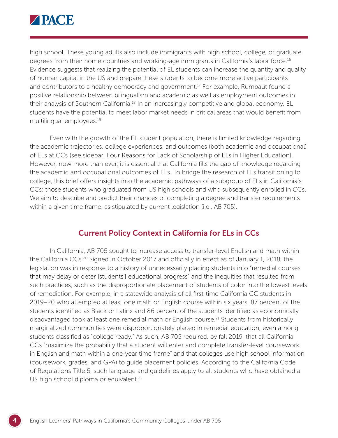

high school. These young adults also include immigrants with high school, college, or graduate degrees from their home countries and working-age immigrants in California's labor force.16 Evidence suggests that realizing the potential of EL students can increase the quantity and quality of human capital in the US and prepare these students to become more active participants and contributors to a healthy democracy and government.<sup>17</sup> For example, Rumbaut found a positive relationship between bilingualism and academic as well as employment outcomes in their analysis of Southern California.<sup>18</sup> In an increasingly competitive and global economy, EL students have the potential to meet labor market needs in critical areas that would benefit from multilingual employees.19

Even with the growth of the EL student population, there is limited knowledge regarding the academic trajectories, college experiences, and outcomes (both academic and occupational) of ELs at CCs (see sidebar: Four Reasons for Lack of Scholarship of ELs in Higher Education). However, now more than ever, it is essential that California fills the gap of knowledge regarding the academic and occupational outcomes of ELs. To bridge the research of ELs transitioning to college, this brief offers insights into the academic pathways of a subgroup of ELs in California's CCs: those students who graduated from US high schools and who subsequently enrolled in CCs. We aim to describe and predict their chances of completing a degree and transfer requirements within a given time frame, as stipulated by current legislation (i.e., AB 705).

### Current Policy Context in California for ELs in CCs

In California, AB 705 sought to increase access to transfer-level English and math within the California CCs.20 Signed in October 2017 and officially in effect as of January 1, 2018, the legislation was in response to a history of unnecessarily placing students into "remedial courses that may delay or deter [students'] educational progress" and the inequities that resulted from such practices, such as the disproportionate placement of students of color into the lowest levels of remediation. For example, in a statewide analysis of all first-time California CC students in 2019–20 who attempted at least one math or English course within six years, 87 percent of the students identified as Black or Latinx and 86 percent of the students identified as economically disadvantaged took at least one remedial math or English course.<sup>21</sup> Students from historically marginalized communities were disproportionately placed in remedial education, even among students classified as "college ready." As such, AB 705 required, by fall 2019, that all California CCs "maximize the probability that a student will enter and complete transfer-level coursework in English and math within a one-year time frame" and that colleges use high school information (coursework, grades, and GPA) to guide placement policies. According to the California Code of Regulations Title 5, such language and guidelines apply to all students who have obtained a US high school diploma or equivalent.<sup>22</sup>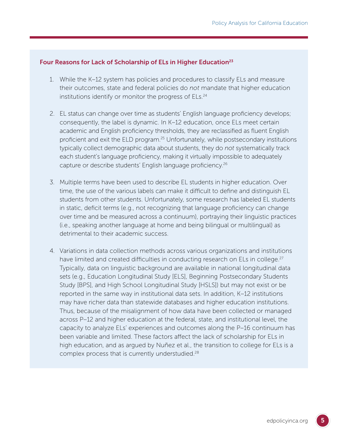#### Four Reasons for Lack of Scholarship of ELs in Higher Education<sup>23</sup>

- 1. While the K–12 system has policies and procedures to classify ELs and measure their outcomes, state and federal policies do *not* mandate that higher education institutions identify or monitor the progress of ELs.<sup>24</sup>
- 2. EL status can change over time as students' English language proficiency develops; consequently, the label is dynamic. In K–12 education, once ELs meet certain academic and English proficiency thresholds, they are reclassified as fluent English proficient and exit the ELD program.<sup>25</sup> Unfortunately, while postsecondary institutions typically collect demographic data about students, they do *not* systematically track each student's language proficiency, making it virtually impossible to adequately capture or describe students' English language proficiency.26
- 3. Multiple terms have been used to describe EL students in higher education. Over time, the use of the various labels can make it difficult to define and distinguish EL students from other students. Unfortunately, some research has labeled EL students in static, deficit terms (e.g., not recognizing that language proficiency can change over time and be measured across a continuum), portraying their linguistic practices (i.e., speaking another language at home and being bilingual or multilingual) as detrimental to their academic success.
- 4. Variations in data collection methods across various organizations and institutions have limited and created difficulties in conducting research on ELs in college.<sup>27</sup> Typically, data on linguistic background are available in national longitudinal data sets (e.g., Education Longitudinal Study [ELS], Beginning Postsecondary Students Study [BPS], and High School Longitudinal Study [HSLS]) but may not exist or be reported in the same way in institutional data sets. In addition, K–12 institutions may have richer data than statewide databases and higher education institutions. Thus, because of the misalignment of how data have been collected or managed across P–12 and higher education at the federal, state, and institutional level, the capacity to analyze ELs' experiences and outcomes along the P–16 continuum has been variable and limited. These factors affect the lack of scholarship for ELs in high education, and as argued by Nuñez et al., the transition to college for ELs is a complex process that is currently understudied.28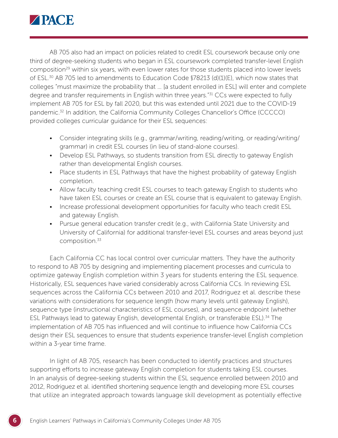

AB 705 also had an impact on policies related to credit ESL coursework because only one third of degree-seeking students who began in ESL coursework completed transfer-level English composition<sup>29</sup> within six years, with even lower rates for those students placed into lower levels of ESL.<sup>30</sup> AB 705 led to amendments to Education Code §78213 (d)(1)(E), which now states that colleges "must maximize the probability that … [a student enrolled in ESL] will enter and complete degree and transfer requirements in English within three years."31 CCs were expected to fully implement AB 705 for ESL by fall 2020, but this was extended until 2021 due to the COVID-19 pandemic.<sup>32</sup> In addition, the California Community Colleges Chancellor's Office (CCCCO) provided colleges curricular guidance for their ESL sequences:

- Consider integrating skills (e.g., grammar/writing, reading/writing, or reading/writing/ grammar) in credit ESL courses (in lieu of stand-alone courses).
- Develop ESL Pathways, so students transition from ESL directly to gateway English rather than developmental English courses.
- Place students in ESL Pathways that have the highest probability of gateway English completion.
- Allow faculty teaching credit ESL courses to teach gateway English to students who have taken ESL courses or create an ESL course that is equivalent to gateway English.
- Increase professional development opportunities for faculty who teach credit ESL and gateway English.
- Pursue general education transfer credit (e.g., with California State University and University of California) for additional transfer-level ESL courses and areas beyond just composition.33

Each California CC has local control over curricular matters. They have the authority to respond to AB 705 by designing and implementing placement processes and curricula to optimize gateway English completion within 3 years for students entering the ESL sequence. Historically, ESL sequences have varied considerably across California CCs. In reviewing ESL sequences across the California CCs between 2010 and 2017, Rodriguez et al. describe these variations with considerations for sequence length (how many levels until gateway English), sequence type (instructional characteristics of ESL courses), and sequence endpoint (whether ESL Pathways lead to gateway English, developmental English, or transferable ESL).<sup>34</sup> The implementation of AB 705 has influenced and will continue to influence how California CCs design their ESL sequences to ensure that students experience transfer-level English completion within a 3-year time frame.

In light of AB 705, research has been conducted to identify practices and structures supporting efforts to increase gateway English completion for students taking ESL courses. In an analysis of degree-seeking students within the ESL sequence enrolled between 2010 and 2012, Rodriguez et al. identified shortening sequence length and developing more ESL courses that utilize an integrated approach towards language skill development as potentially effective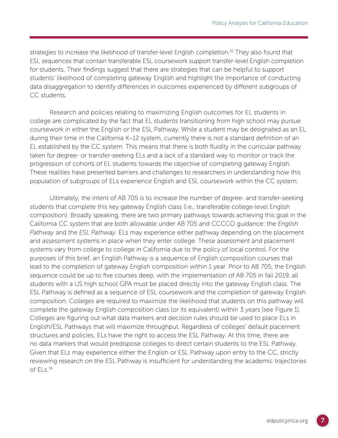strategies to increase the likelihood of transfer-level English completion.<sup>35</sup> They also found that ESL sequences that contain transferable ESL coursework support transfer-level English completion for students. Their findings suggest that there are strategies that can be helpful to support students' likelihood of completing gateway English and highlight the importance of conducting data disaggregation to identify differences in outcomes experienced by different subgroups of CC students.

Research and policies relating to maximizing English outcomes for EL students in college are complicated by the fact that EL students transitioning from high school may pursue coursework in either the English or the ESL Pathway. While a student may be designated as an EL during their time in the California K–12 system, currently there is *not* a standard definition of an EL established by the CC system. This means that there is both fluidity in the curricular pathway taken for degree- or transfer-seeking ELs and a lack of a standard way to monitor or track the progression of cohorts of EL students towards the objective of completing gateway English. These realities have presented barriers and challenges to researchers in understanding how this population of subgroups of ELs experience English and ESL coursework within the CC system.

Ultimately, the intent of AB 705 is to increase the number of degree- and transfer-seeking students that complete this key gateway English class (i.e., transferable college-level English composition). Broadly speaking, there are two primary pathways towards achieving this goal in the California CC system that are both allowable under AB 705 and CCCCO guidance: the *English Pathway* and the *ESL Pathway*. ELs may experience either pathway depending on the placement and assessment systems in place when they enter college. These assessment and placement systems vary from college to college in California due to the policy of local control. For the purposes of this brief, an English Pathway is a sequence of English composition courses that lead to the completion of gateway English composition within 1 year. Prior to AB 705, the English sequence could be up to five courses deep; with the implementation of AB 705 in fall 2019, all students with a US high school GPA must be placed directly into the gateway English class. The ESL Pathway is defined as a sequence of ESL coursework and the completion of gateway English composition. Colleges are required to maximize the likelihood that students on this pathway will complete the gateway English composition class (or its equivalent) within 3 years (see Figure 1). Colleges are figuring out what data markers and decision rules should be used to place ELs in English/ESL Pathways that will maximize throughput. Regardless of colleges' default placement structures and policies, ELs have the right to access the ESL Pathway. At this time, there are no data markers that would predispose colleges to direct certain students to the ESL Pathway. Given that ELs may experience either the English or ESL Pathway upon entry to the CC, strictly reviewing research on the ESL Pathway is insufficient for understanding the academic trajectories of  $FI S^{36}$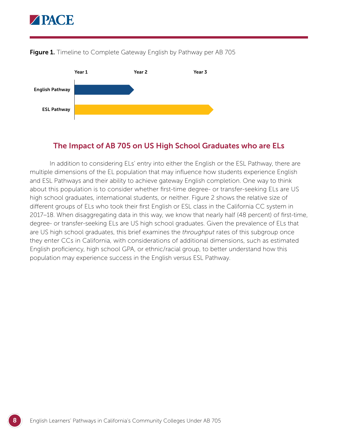





# The Impact of AB 705 on US High School Graduates who are ELs

In addition to considering ELs' entry into either the English or the ESL Pathway, there are multiple dimensions of the EL population that may influence how students experience English and ESL Pathways and their ability to achieve gateway English completion. One way to think about this population is to consider whether first-time degree- or transfer-seeking ELs are US high school graduates, international students, or neither. Figure 2 shows the relative size of different groups of ELs who took their first English or ESL class in the California CC system in 2017–18. When disaggregating data in this way, we know that nearly half (48 percent) of first-time, degree- or transfer-seeking ELs are US high school graduates. Given the prevalence of ELs that are US high school graduates, this brief examines the *throughput* rates of this subgroup once they enter CCs in California, with considerations of additional dimensions, such as estimated English proficiency, high school GPA, or ethnic/racial group, to better understand how this population may experience success in the English versus ESL Pathway.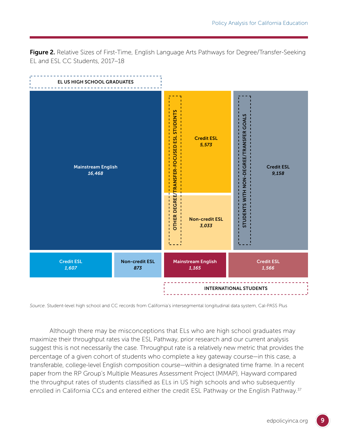Figure 2. Relative Sizes of First-Time, English Language Arts Pathways for Degree/Transfer-Seeking EL and ESL CC Students, 2017–18



*Source*. Student-level high school and CC records from California's intersegmental longitudinal data system, Cal-PASS Plus

Although there may be misconceptions that ELs who are high school graduates may maximize their throughput rates via the ESL Pathway, prior research and our current analysis suggest this is not necessarily the case. Throughput rate is a relatively new metric that provides the percentage of a given cohort of students who complete a key gateway course—in this case, a transferable, college-level English composition course—within a designated time frame. In a recent paper from the RP Group's Multiple Measures Assessment Project (MMAP), Hayward compared the throughput rates of students classified as ELs in US high schools and who subsequently enrolled in California CCs and entered either the credit ESL Pathway or the English Pathway.<sup>37</sup>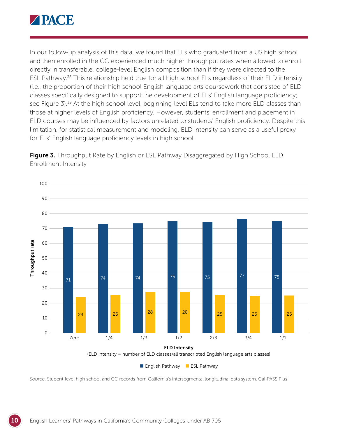

In our follow-up analysis of this data, we found that ELs who graduated from a US high school and then enrolled in the CC experienced much higher throughput rates when allowed to enroll directly in transferable, college-level English composition than if they were directed to the ESL Pathway.38 This relationship held true for all high school ELs regardless of their ELD intensity (i.e., the proportion of their high school English language arts coursework that consisted of ELD classes specifically designed to support the development of ELs' English language proficiency; see Figure 3).<sup>39</sup> At the high school level, beginning-level ELs tend to take more ELD classes than those at higher levels of English proficiency. However, students' enrollment and placement in ELD courses may be influenced by factors unrelated to students' English proficiency. Despite this limitation, for statistical measurement and modeling, ELD intensity can serve as a useful proxy for ELs' English language proficiency levels in high school.

Figure 3. Throughput Rate by English or ESL Pathway Disaggregated by High School ELD Enrollment Intensity

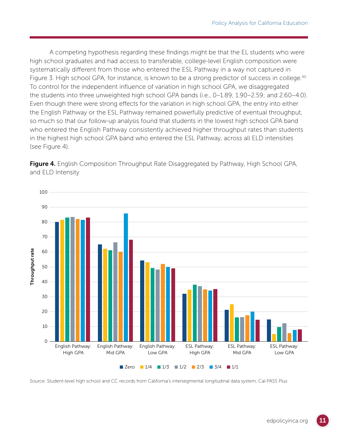A competing hypothesis regarding these findings might be that the EL students who were high school graduates and had access to transferable, college-level English composition were systematically different from those who entered the ESL Pathway in a way not captured in Figure 3. High school GPA, for instance, is known to be a strong predictor of success in college.<sup>40</sup> To control for the independent influence of variation in high school GPA, we disaggregated the students into three unweighted high school GPA bands (i.e., 0–1.89; 1.90–2.59; and 2.60–4.0). Even though there were strong effects for the variation in high school GPA, the entry into either the English Pathway or the ESL Pathway remained powerfully predictive of eventual throughput, so much so that our follow-up analysis found that students in the lowest high school GPA band who entered the English Pathway consistently achieved higher throughput rates than students in the highest high school GPA band who entered the ESL Pathway, across all ELD intensities (see Figure 4).



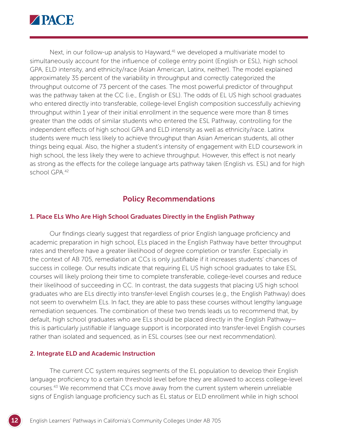

Next, in our follow-up analysis to Hayward,<sup>41</sup> we developed a multivariate model to simultaneously account for the influence of college entry point (English or ESL), high school GPA, ELD intensity, and ethnicity/race (Asian American, Latinx, neither). The model explained approximately 35 percent of the variability in throughput and correctly categorized the throughput outcome of 73 percent of the cases. The most powerful predictor of throughput was the pathway taken at the CC (i.e., English or ESL). The odds of EL US high school graduates who entered directly into transferable, college-level English composition successfully achieving throughput within 1 year of their initial enrollment in the sequence were more than 8 times greater than the odds of similar students who entered the ESL Pathway, controlling for the independent effects of high school GPA and ELD intensity as well as ethnicity/race. Latinx students were much less likely to achieve throughput than Asian American students, all other things being equal. Also, the higher a student's intensity of engagement with ELD coursework in high school, the less likely they were to achieve throughput. However, this effect is not nearly as strong as the effects for the college language arts pathway taken (English vs. ESL) and for high school GPA<sup>42</sup>

# Policy Recommendations

#### 1. Place ELs Who Are High School Graduates Directly in the English Pathway

Our findings clearly suggest that regardless of prior English language proficiency and academic preparation in high school, ELs placed in the English Pathway have better throughput rates and therefore have a greater likelihood of degree completion or transfer. Especially in the context of AB 705, remediation at CCs is only justifiable if it increases students' chances of success in college. Our results indicate that requiring EL US high school graduates to take ESL courses will likely prolong their time to complete transferable, college-level courses and reduce their likelihood of succeeding in CC. In contrast, the data suggests that placing US high school graduates who are ELs directly into transfer-level English courses (e.g., the English Pathway) does not seem to overwhelm ELs. In fact, they are able to pass these courses without lengthy language remediation sequences. The combination of these two trends leads us to recommend that, by default, high school graduates who are ELs should be placed directly in the English Pathway this is particularly justifiable if language support is incorporated into transfer-level English courses rather than isolated and sequenced, as in ESL courses (see our next recommendation).

#### 2. Integrate ELD and Academic Instruction

The current CC system requires segments of the EL population to develop their English language proficiency to a certain threshold level before they are allowed to access college-level courses.43 We recommend that CCs move away from the current system wherein unreliable signs of English language proficiency such as EL status or ELD enrollment while in high school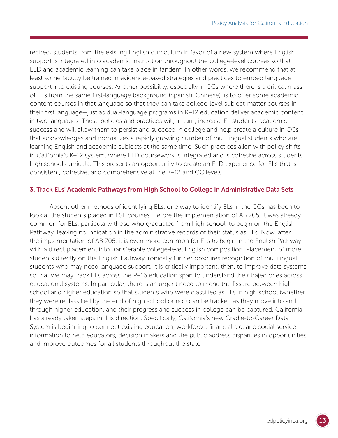redirect students from the existing English curriculum in favor of a new system where English support is integrated into academic instruction throughout the college-level courses so that ELD and academic learning can take place in tandem. In other words, we recommend that at least some faculty be trained in evidence-based strategies and practices to embed language support into existing courses. Another possibility, especially in CCs where there is a critical mass of ELs from the same first-language background (Spanish, Chinese), is to offer some academic content courses in that language so that they can take college-level subject-matter courses in their first language—just as dual-language programs in K–12 education deliver academic content in two languages. These policies and practices will, in turn, increase EL students' academic success and will allow them to persist and succeed in college and help create a culture in CCs that acknowledges and normalizes a rapidly growing number of multilingual students who are learning English and academic subjects at the same time. Such practices align with policy shifts in California's K–12 system, where ELD coursework is integrated and is cohesive across students' high school curricula. This presents an opportunity to create an ELD experience for ELs that is consistent, cohesive, and comprehensive at the K–12 and CC levels.

#### 3. Track ELs' Academic Pathways from High School to College in Administrative Data Sets

Absent other methods of identifying ELs, one way to identify ELs in the CCs has been to look at the students placed in ESL courses. Before the implementation of AB 705, it was already common for ELs, particularly those who graduated from high school, to begin on the English Pathway, leaving no indication in the administrative records of their status as ELs. Now, after the implementation of AB 705, it is even more common for ELs to begin in the English Pathway with a direct placement into transferable college-level English composition. Placement of more students directly on the English Pathway ironically further obscures recognition of multilingual students who may need language support. It is critically important, then, to improve data systems so that we may track ELs across the P–16 education span to understand their trajectories across educational systems. In particular, there is an urgent need to mend the fissure between high school and higher education so that students who were classified as ELs in high school (whether they were reclassified by the end of high school or not) can be tracked as they move into and through higher education, and their progress and success in college can be captured. California has already taken steps in this direction. Specifically, California's new Cradle-to-Career Data System is beginning to connect existing education, workforce, financial aid, and social service information to help educators, decision makers and the public address disparities in opportunities and improve outcomes for all students throughout the state.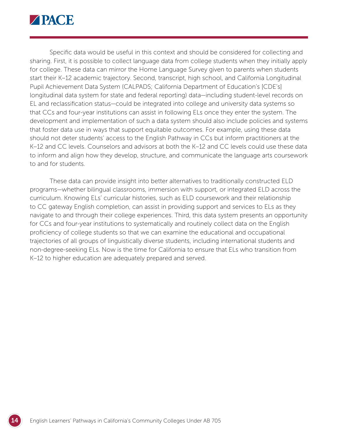

Specific data would be useful in this context and should be considered for collecting and sharing. First, it is possible to collect language data from college students when they initially apply for college. These data can mirror the Home Language Survey given to parents when students start their K–12 academic trajectory. Second, transcript, high school, and California Longitudinal Pupil Achievement Data System (CALPADS; California Department of Education's [CDE's] longitudinal data system for state and federal reporting) data—including student-level records on EL and reclassification status—could be integrated into college and university data systems so that CCs and four-year institutions can assist in following ELs once they enter the system. The development and implementation of such a data system should also include policies and systems that foster data use in ways that support equitable outcomes. For example, using these data should not deter students' access to the English Pathway in CCs but inform practitioners at the K–12 and CC levels. Counselors and advisors at both the K–12 and CC levels could use these data to inform and align how they develop, structure, and communicate the language arts coursework to and for students.

These data can provide insight into better alternatives to traditionally constructed ELD programs—whether bilingual classrooms, immersion with support, or integrated ELD across the curriculum. Knowing ELs' curricular histories, such as ELD coursework and their relationship to CC gateway English completion, can assist in providing support and services to ELs as they navigate to and through their college experiences. Third, this data system presents an opportunity for CCs and four-year institutions to systematically and routinely collect data on the English proficiency of college students so that we can examine the educational and occupational trajectories of all groups of linguistically diverse students, including international students and non-degree-seeking ELs. Now is the time for California to ensure that ELs who transition from K–12 to higher education are adequately prepared and served.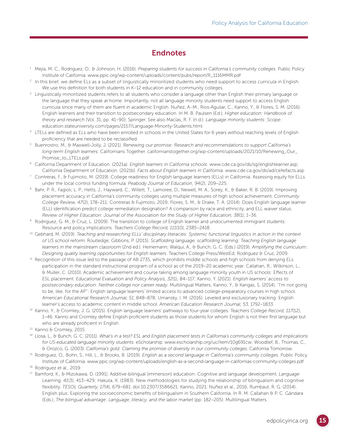# Endnotes

- <sup>1</sup> Mejia, M. C., Rodriguez, O., & Johnson, H. (2016). *Preparing students for success in California's community colleges*. Public Policy Institute of California. [www.ppic.org/wp-content/uploads/content/pubs/report/R\\_1116MMR.pdf](https://www.ppic.org/wp-content/uploads/content/pubs/report/R_1116MMR.pdf)
- <sup>2</sup> In this brief, we define ELs as a subset of linguistically minoritized students who need support to access curricula in English. We use this definition for both students in K–12 education and in community colleges.
- $3$  Linguistically minoritized students refers to all students who consider a language other than English their primary language or the language that they speak at home. Importantly, not all language minority students need support to access English curricula since many of them are fluent in academic English. Nuñez, A.-M., Rios-Aguilar, C., Kanno, Y., & Flores, S. M. (2016). English learners and their transition to postsecondary education. In M. B. Paulsen (Ed.), *Higher education: Handbook of theory and research* (Vol. 31, pp. 41–90). Springer. See also Macías, R. F. (n.d.). *Language minority students: Scope*. [education.stateuniversity.com/pages/2157/Language-Minority-Students.html](https://education.stateuniversity.com/pages/2157/Language-Minority-Students.html)
- <sup>4</sup> LTELs are defined as ELs who have been enrolled in schools in the United States for 6 years without reaching levels of English proficiency that are needed to be reclassified.
- <sup>5</sup> Buenrostro, M., & Maxwell-Jolly, J. (2021). *Renewing our promise: Research and recommendations to support California's long-term English learners*. Californians Together. [californianstogether.org/wp-content/uploads/2021/10/Renewing\\_Our\\_](https://californianstogether.org/wp-content/uploads/2021/10/Renewing_Our_Promise_to_LTELs.pdf) [Promise\\_to\\_LTELs.pdf](https://californianstogether.org/wp-content/uploads/2021/10/Renewing_Our_Promise_to_LTELs.pdf)
- <sup>6</sup> California Department of Education. (2021a). *English learners in California schools*. [www.cde.ca.gov/ds/sg/englishlearner.asp;](https://www.cde.ca.gov/ds/sg/englishlearner.asp) California Department of Education. (2021b). *Facts about English learners in California*. [www.cde.ca.gov/ds/ad/cefelfacts.asp](https://www.cde.ca.gov/ds/ad/cefelfacts.asp)
- $7$  Contreras, F., & Fujimoto, M. (2019). College readiness for English language learners (ELLs) in California: Assessing equity for ELLs under the local control funding formula. *Peabody Journal of Education, 94*(2), 209–225.
- <sup>8</sup> Bahr, P. R., Fagioli, L. P., Hetts, J., Hayward, C., Willett, T., Lamoree, D., Newell, M. A., Sorey, K., & Baker, R. B. (2019). Improving placement accuracy in California's community colleges using multiple measures of high school achievement. *Community College Review, 47*(2), 178–211; Contreras & Fujimoto, 2019; Flores, S. M., & Drake, T. A. (2014). Does English language learner (ELL) identification predict college remediation designation? A comparison by race and ethnicity, and ELL waiver status. *Review of Higher Education: Journal of the Association for the Study of Higher Education, 38*(1), 1–36.
- <sup>9</sup> Rodriguez, G. M., & Cruz, L. (2009). The transition to college of English learner and undocumented immigrant students: Resource and policy implications. *Teachers College Record, 111*(10), 2385–2418.
- <sup>10</sup> Gebhard, M. (2019). *Teaching and researching ELLs' disciplinary literacies: Systemic functional linguistics in action in the context of US school reform*. Routledge; Gibbons, P. (2015). *Scaffolding language, scaffolding learning: Teaching English language learners in the mainstream classroom* (2nd ed.). Heinemann; Walqui, A., & Bunch, G. C. (Eds.) (2019). *Amplifying the curriculum: Designing quality learning opportunities for English learners*. Teachers College Press/WestEd; Rodriguez & Cruz, 2009.
- <sup>11</sup> Recognition of this issue led to the passage of AB 2735, which prohibits middle schools and high schools from denying ELs participation in the standard instructional program of a school as of the 2019–20 academic year. Callahan, R., Wilkinson, L., & Muller, C. (2010). Academic achievement and course taking among language minority youth in US schools: Effects of ESL placement. *Educational Evaluation and Policy Analysis, 32*(1), 84–117; Kanno, Y. (2021). *English learners' access to postsecondary education: Neither college nor career ready*. Multilingual Matters; Kanno, Y., & Kangas, S. (2014). ''I'm not going to be, like, for the AP'': English language learners' limited access to advanced college-preparatory courses in high school. *American Educational Research Journal, 51*, 848–878; Umansky, I. M. (2016). Leveled and exclusionary tracking: English learner's access to academic content in middle school. *American Education Research Journal, 53*, 1792–1833.
- <sup>12</sup> Kanno, Y., & Cromley, J. G. (2015). English language learners' pathways to four-year colleges. *Teachers College Record, 117*(12), 1–46. Kanno and Cromley define English proficient students as those students for whom English is not their first language but who are already proficient in English.
- 13 Kanno & Cromley, 2015.
- <sup>14</sup> Llosa, L., & Bunch, G. C. (2011). *What's in a test? ESL and English placement tests in California's community colleges and implications for US-educated language minority students*. eScholarship[. www.escholarship.org/uc/item/10g691cw;](https://www.escholarship.org/uc/item/10g691cw) Woodlief, B., Thomas, C., & Orozco, G. (2003). *California's gold: Claiming the promise of diversity in our community colleges*. California Tomorrow.
- <sup>15</sup> Rodriguez, O., Bohn, S., Hill, L., & Brooks, B. (2019). *English as a second language in California's community colleges.* Public Policy Institute of California. [www.ppic.org/wp-content/uploads/english-as-a-second-language-in-californias-community-colleges.pdf](https://www.ppic.org/wp-content/uploads/english-as-a-second-language-in-californias-community-colleges.pdf)
- <sup>16</sup> [Rodriguez et al., 2019](https://www.ppic.org/wp-content/uploads/english-as-a-second-language-in-californias-community-colleges.pdf).
- <sup>17</sup> Bamford, K., & Mizokawa, D. (1991). Additive-bilingual (immersion) education: Cognitive and language development. *Language Learning, 41*(3), 413–429; Hakuta, K. (1983). New methodologies for studying the relationship of bilingualism and cognitive flexibility. *TESOL Quarterly, 17*(4), 679–681. doi:10.2307/3586621; Kanno, 2021; Nuñez et al., 2016; Rumbaut, R. G. (2014). English plus: Exploring the socioeconomic benefits of bilingualism in Southern California. In R. M. Callahan & P. C. Gándara (Eds.), *The bilingual advantage: Language, literacy, and the labor market* (pp. 182–205). Multilingual Matters.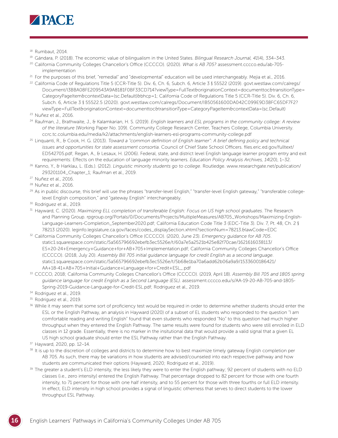

- <sup>18</sup> Rumbaut, 2014.
- <sup>19</sup> Gándara, P. (2018). The economic value of bilingualism in the United States. *Bilingual Research Journal, 41*(4), 334–343.
- <sup>20</sup> California Community Colleges Chancellor's Office (CCCCO). (2020). *What is AB 705?* [assessment.cccco.edu/ab-705](https://assessment.cccco.edu/ab-705-implementation) [implementation](https://assessment.cccco.edu/ab-705-implementation)
- <sup>21</sup> For the purposes of this brief, "remedial" and "developmental" education will be used interchangeably. Mejia et al., 2016.
- <sup>22</sup> California Code of Regulations Title 5 (CCR-Title 5). Div. 6, Ch. 6, Subch. 6, Article 3 § 55522 (2019). [govt.westlaw.com/calregs/](https://govt.westlaw.com/calregs/Document/I3BBA08FE209543A9A8181F0BF33CD714?viewType=FullText&originationContext=documenttoc&transitionType=CategoryPageItem&contextData=(sc.Default)&bhcp=1) [Document/I3BBA08FE209543A9A8181F0BF33CD714?viewType=FullText&originationContext=documenttoc&transitionType=](https://govt.westlaw.com/calregs/Document/I3BBA08FE209543A9A8181F0BF33CD714?viewType=FullText&originationContext=documenttoc&transitionType=CategoryPageItem&contextData=(sc.Default)&bhcp=1) [CategoryPageItem&contextData=\(sc.Default\)&bhcp=1;](https://govt.westlaw.com/calregs/Document/I3BBA08FE209543A9A8181F0BF33CD714?viewType=FullText&originationContext=documenttoc&transitionType=CategoryPageItem&contextData=(sc.Default)&bhcp=1) California Code of Regulations Title 5 (CCR-Title 5). Div. 6, Ch. 6, Subch. 6, Article 3 § 55522.5 (2020). [govt.westlaw.com/calregs/Document/IB50561600DA042C099E9D38FC65DF7F2?](https://govt.westlaw.com/calregs/Document/IB50561600DA042C099E9D38FC65DF7F2?viewType=FullText&originationContext=documenttoc&transitionType=CategoryPageItem&contextData=(sc.Default)) [viewType=FullText&originationContext=documenttoc&transitionType=CategoryPageItem&contextData=\(sc.Default\)](https://govt.westlaw.com/calregs/Document/IB50561600DA042C099E9D38FC65DF7F2?viewType=FullText&originationContext=documenttoc&transitionType=CategoryPageItem&contextData=(sc.Default))
- <sup>23</sup> Nuñez et al., 2016.
- <sup>24</sup> Raufman, J., Brathwaite, J., & Kalamkarian, H. S. (2019). *English learners and ESL programs in the community college: A review of the literature* (Working Paper No. 109). Community College Research Center, Teachers College, Columbia University. [ccrc.tc.columbia.edu/media/k2/attachments/english-learners-esl-programs-community-college.pdf](https://ccrc.tc.columbia.edu/media/k2/attachments/english-learners-esl-programs-community-college.pdf)
- <sup>25</sup> Linquanti, R., & Cook, H. G. (2013). *Toward a "common definition of English learner": A brief defining policy and technical issues and opportunities for state assessment consortia.* Council of Chief State School Officers. [files.eric.ed.gov/fulltext/](http://files.eric.ed.gov/fulltext/ED542705.pdf) [ED542705.pdf;](http://files.eric.ed.gov/fulltext/ED542705.pdf) Regan, A., & Lesaux, H. (2006). Federal, state, and district level English language learner program entry and exit requirements: Effects on the education of language minority learners. *Education Policy Analysis Archives, 14*(20), 1–32.
- <sup>26</sup> Kanno, Y., & Harklau, L. (Eds.). (2012). *Linguistic minority students go to college*. Routledge. [www.researchgate.net/publication/](https://www.researchgate.net/publication/293201104_Chapter_1) [293201104\\_Chapter\\_1](https://www.researchgate.net/publication/293201104_Chapter_1); [Raufman et al., 2019.](https://ccrc.tc.columbia.edu/media/k2/attachments/english-learners-esl-programs-community-college.pdf)
- <sup>27</sup> Nuñez et al., 2016.
- <sup>28</sup> Nuñez et al., 2016.
- <sup>29</sup> As in public discourse, this brief will use the phrases "transfer-level English," "transfer-level English gateway," "transferable collegelevel English composition," and "gateway English" interchangeably.
- <sup>30</sup> Rodriguez et al., 2019.
- <sup>31</sup> Hayward, C. (2020). *Maximizing ELL completion of transferable English: Focus on US high school graduates*. The Research and Planning Group. [rpgroup.org/Portals/0/Documents/Projects/MultipleMeasures/AB705\\_Workshops/Maximizing-English-](https://rpgroup.org/Portals/0/Documents/Projects/MultipleMeasures/AB705_Workshops/Maximizing-English-Language-Learners-Completion_September2020.pdf)[Language-Learners-Completion\\_September2020.pdf](https://rpgroup.org/Portals/0/Documents/Projects/MultipleMeasures/AB705_Workshops/Maximizing-English-Language-Learners-Completion_September2020.pdf); California Education Code Title 3 (EDC-Title 3). Div. 7, Pt. 48, Ch. 2 § 78213 (2020)[. leginfo.legislature.ca.gov/faces/codes\\_displaySection.xhtml?sectionNum=78213.&lawCode=EDC](https://leginfo.legislature.ca.gov/faces/codes_displaySection.xhtml?sectionNum=78213.&lawCode=EDC)
- <sup>32</sup> California Community Colleges Chancellor's Office (CCCCO). (2020, June 23). *Emergency guidance for AB 705*. [static1.squarespace.com/static/5a565796692ebefb3ec5526e/t/60a7e5a2521b425e82f70cae/1621616038113/](https://static1.squarespace.com/static/5a565796692ebefb3ec5526e/t/60a7e5a2521b425e82f70cae/1621616038113/ES+20-24+Emergency+Guidance+for+AB+705+Implementation.pdf) [ES+20-24+Emergency+Guidance+for+AB+705+Implementation.pdf](https://static1.squarespace.com/static/5a565796692ebefb3ec5526e/t/60a7e5a2521b425e82f70cae/1621616038113/ES+20-24+Emergency+Guidance+for+AB+705+Implementation.pdf); California Community Colleges Chancellor's Office (CCCCO). (2018, July 20). *Assembly Bill 705 initial guidance language for credit English as a second language*. [static1.squarespace.com/static/5a565796692ebefb3ec5526e/t/5b68e1ba70a6add62b06a9a9/1533600186421/](https://static1.squarespace.com/static/5a565796692ebefb3ec5526e/t/5b68e1ba70a6add62b06a9a9/1533600186421/AA+18-41+AB+705+Initial+Guidance+Language+for+Credit+ESL_.pdf) [AA+18-41+AB+705+Initial+Guidance+Language+for+Credit+ESL\\_.pdf](https://static1.squarespace.com/static/5a565796692ebefb3ec5526e/t/5b68e1ba70a6add62b06a9a9/1533600186421/AA+18-41+AB+705+Initial+Guidance+Language+for+Credit+ESL_.pdf)
- <sup>33</sup> CCCCO, 2018; California Community Colleges Chancellor's Office (CCCCO). (2019, April 18). *Assembly Bill 705 and 1805 spring guidance language for credit English as a Second Language (ESL).* assessment.cccco.edu/s/AA-19-20-AB-705-and-1805- Spring-2019-Guidance-Language-for-Credit-ESL.pdf; Rodriguez et al., 2019.
- <sup>34</sup> Rodriguez et al., 2019.
- <sup>35</sup> Rodriguez et al., 2019.
- <sup>36</sup> While it may seem that some sort of proficiency test would be required in order to determine whether students should enter the ESL or the English Pathway, an analysis in Hayward (2020) of a subset of EL students who responded to the question "I am comfortable reading and writing English" found that even students who responded "No" to this question had much higher throughput when they entered the English Pathway. The same results were found for students who were still enrolled in ELD classes in 12 grade. Essentially, there is no marker in the insitutional data that would provide a valid signal that a given EL US high school graduate should enter the ESL Pathway rather than the English Pathway.
- <sup>37</sup> Hayward, 2020, pp. 12–14.
- <sup>38</sup> It is up to the discretion of colleges and districts to determine how to best maximize timely gateway English completion per AB 705. As such, there may be variations in how students are advised/counseled into each respective pathway and how students are communicated their options (Hayward, 2020; Rodriguez et al., 2019).
- <sup>39</sup> The greater a student's ELD intensity, the less likely they were to enter the English pathway; 92 percent of students with no ELD classes (i.e., zero intensity) entered the English Pathway. That percentage dropped to 82 percent for those with one fourth intensity, to 71 percent for those with one half intensity, and to 55 percent for those with three fourths or full ELD intensity. In effect, ELD intensity in high school provides a signal of linguistic otherness that serves to direct students to the lower throughput ESL Pathway.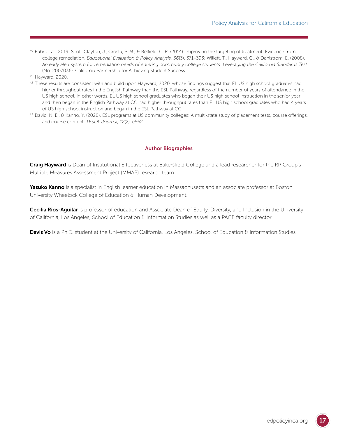<sup>40</sup> Bahr et al., 2019; Scott-Clayton, J., Crosta, P. M., & Belfield, C. R. (2014). Improving the targeting of treatment: Evidence from college remediation. *Educational Evaluation & Policy Analysis, 36*(3), 371–393; Willett, T., Hayward, C., & Dahlstrom, E. (2008). *An early alert system for remediation needs of entering community college students: Leveraging the California Standards Test* (No. 2007036). California Partnership for Achieving Student Success.

- <sup>42</sup> These results are consistent with and build upon Hayward, 2020, whose findings suggest that EL US high school graduates had higher throughput rates in the English Pathway than the ESL Pathway, regardless of the number of years of attendance in the US high school. In other words, EL US high school graduates who began their US high school instruction in the senior year and then began in the English Pathway at CC had higher throughput rates than EL US high school graduates who had 4 years of US high school instruction and began in the ESL Pathway at CC.
- 43 David, N. E., & Kanno, Y. (2020). ESL programs at US community colleges: A multi-state study of placement tests, course offerings, and course content. *TESOL Journal, 12*(2), e562.

#### Author Biographies

Craig Hayward is Dean of Institutional Effectiveness at Bakersfield College and a lead researcher for the RP Group's Multiple Measures Assessment Project (MMAP) research team.

Yasuko Kanno is a specialist in English learner education in Massachusetts and an associate professor at Boston University Wheelock College of Education & Human Development.

Cecilia Rios-Aguilar is professor of education and Associate Dean of Equity, Diversity, and Inclusion in the University of California, Los Angeles, School of Education & Information Studies as well as a PACE faculty director.

Davis Vo is a Ph.D. student at the University of California, Los Angeles, School of Education & Information Studies.

<sup>41</sup> Hayward, 2020.